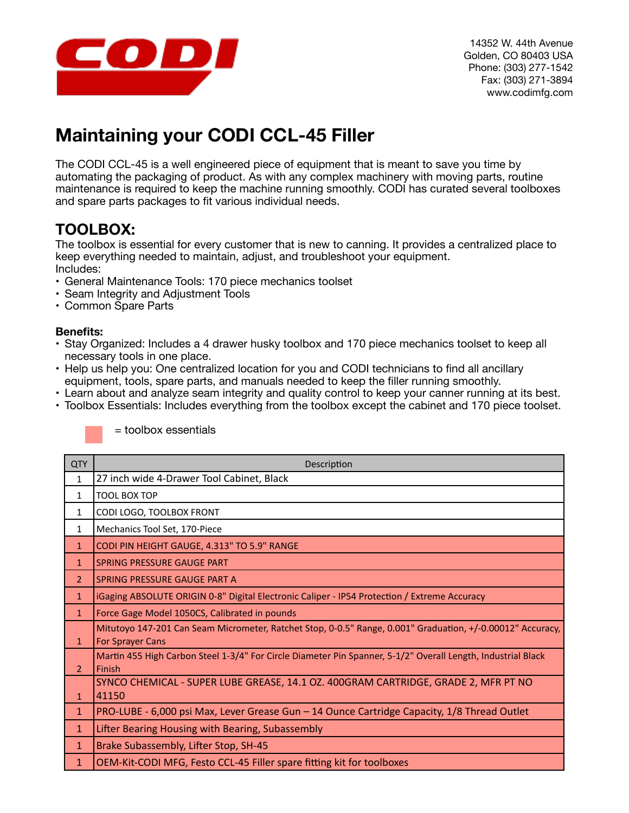

# **Maintaining your CODI CCL-45 Filler**

The CODI CCL-45 is a well engineered piece of equipment that is meant to save you time by automating the packaging of product. As with any complex machinery with moving parts, routine maintenance is required to keep the machine running smoothly. CODI has curated several toolboxes and spare parts packages to fit various individual needs.

## **TOOLBOX:**

The toolbox is essential for every customer that is new to canning. It provides a centralized place to keep everything needed to maintain, adjust, and troubleshoot your equipment. Includes:

- General Maintenance Tools: 170 piece mechanics toolset
- Seam Integrity and Adjustment Tools
- Common Spare Parts

### **Benefits:**

- Stay Organized: Includes a 4 drawer husky toolbox and 170 piece mechanics toolset to keep all necessary tools in one place.
- Help us help you: One centralized location for you and CODI technicians to find all ancillary equipment, tools, spare parts, and manuals needed to keep the filler running smoothly.
- Learn about and analyze seam integrity and quality control to keep your canner running at its best.
- Toolbox Essentials: Includes everything from the toolbox except the cabinet and 170 piece toolset.

| <b>QTY</b>    | Description                                                                                                                           |
|---------------|---------------------------------------------------------------------------------------------------------------------------------------|
| 1             | 27 inch wide 4-Drawer Tool Cabinet, Black                                                                                             |
| 1             | <b>TOOL BOX TOP</b>                                                                                                                   |
| 1             | CODI LOGO, TOOLBOX FRONT                                                                                                              |
| 1             | Mechanics Tool Set, 170-Piece                                                                                                         |
| $\mathbf{1}$  | CODI PIN HEIGHT GAUGE, 4.313" TO 5.9" RANGE                                                                                           |
| $\mathbf{1}$  | SPRING PRESSURE GAUGE PART                                                                                                            |
| $\mathcal{P}$ | SPRING PRESSURE GAUGE PART A                                                                                                          |
| $\mathbf{1}$  | iGaging ABSOLUTE ORIGIN 0-8" Digital Electronic Caliper - IP54 Protection / Extreme Accuracy                                          |
| $\mathbf{1}$  | Force Gage Model 1050CS, Calibrated in pounds                                                                                         |
| $\mathbf{1}$  | Mitutoyo 147-201 Can Seam Micrometer, Ratchet Stop, 0-0.5" Range, 0.001" Graduation, +/-0.00012" Accuracy,<br><b>For Sprayer Cans</b> |
| $\mathcal{L}$ | Martin 455 High Carbon Steel 1-3/4" For Circle Diameter Pin Spanner, 5-1/2" Overall Length, Industrial Black<br>Finish                |
| $\mathbf{1}$  | SYNCO CHEMICAL - SUPER LUBE GREASE, 14.1 OZ. 400GRAM CARTRIDGE, GRADE 2, MFR PT NO<br>41150                                           |
| $\mathbf{1}$  | PRO-LUBE - 6,000 psi Max, Lever Grease Gun – 14 Ounce Cartridge Capacity, 1/8 Thread Outlet                                           |
| $\mathbf{1}$  | Lifter Bearing Housing with Bearing, Subassembly                                                                                      |
| $\mathbf{1}$  | Brake Subassembly, Lifter Stop, SH-45                                                                                                 |
| $\mathbf{1}$  | OEM-Kit-CODI MFG, Festo CCL-45 Filler spare fitting kit for toolboxes                                                                 |
|               |                                                                                                                                       |

= toolbox essentials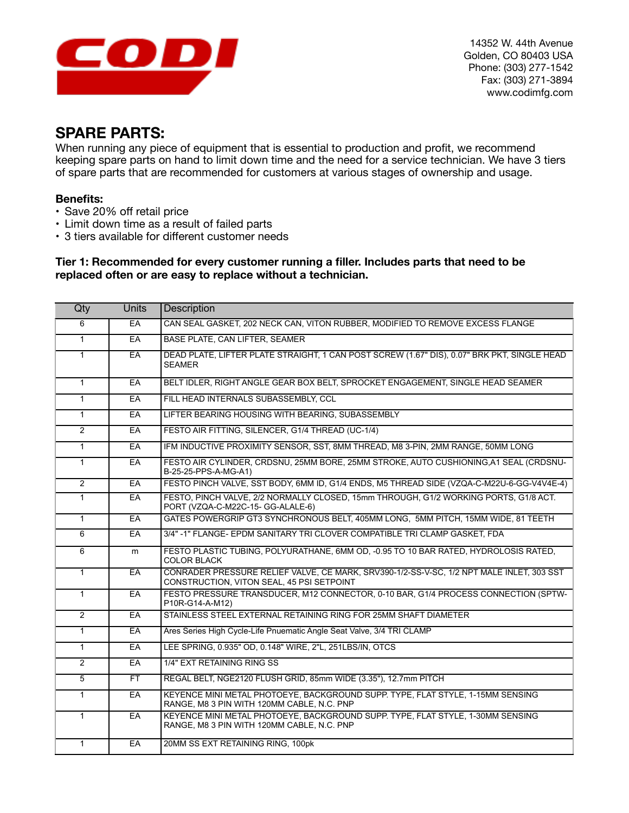

14352 W. 44th Avenue Golden, CO 80403 USA Phone: (303) 277-1542 Fax: (303) 271-3894 www.codimfg.com

### **SPARE PARTS:**

When running any piece of equipment that is essential to production and profit, we recommend keeping spare parts on hand to limit down time and the need for a service technician. We have 3 tiers of spare parts that are recommended for customers at various stages of ownership and usage.

### **Benefits:**

- Save 20% off retail price
- Limit down time as a result of failed parts
- 3 tiers available for different customer needs

#### **Tier 1: Recommended for every customer running a filler. Includes parts that need to be replaced often or are easy to replace without a technician.**

| Qty            | <b>Units</b> | <b>Description</b>                                                                                                                    |
|----------------|--------------|---------------------------------------------------------------------------------------------------------------------------------------|
| 6              | EA           | CAN SEAL GASKET, 202 NECK CAN, VITON RUBBER, MODIFIED TO REMOVE EXCESS FLANGE                                                         |
| $\mathbf{1}$   | EA           | <b>BASE PLATE, CAN LIFTER, SEAMER</b>                                                                                                 |
| $\mathbf{1}$   | $E$ A        | DEAD PLATE, LIFTER PLATE STRAIGHT, 1 CAN POST SCREW (1.67" DIS), 0.07" BRK PKT, SINGLE HEAD<br><b>SEAMER</b>                          |
| $\overline{1}$ | EA           | BELT IDLER, RIGHT ANGLE GEAR BOX BELT, SPROCKET ENGAGEMENT, SINGLE HEAD SEAMER                                                        |
| $\mathbf{1}$   | EA           | FILL HEAD INTERNALS SUBASSEMBLY, CCL                                                                                                  |
| $\mathbf{1}$   | $E$ A        | LIFTER BEARING HOUSING WITH BEARING, SUBASSEMBLY                                                                                      |
| $\overline{2}$ | EA           | FESTO AIR FITTING, SILENCER, G1/4 THREAD (UC-1/4)                                                                                     |
| $\overline{1}$ | EA           | IFM INDUCTIVE PROXIMITY SENSOR, SST, 8MM THREAD, M8 3-PIN, 2MM RANGE, 50MM LONG                                                       |
| $\mathbf{1}$   | EA           | FESTO AIR CYLINDER, CRDSNU, 25MM BORE, 25MM STROKE, AUTO CUSHIONING, A1 SEAL (CRDSNU-<br>B-25-25-PPS-A-MG-A1)                         |
| $\overline{2}$ | EA           | FESTO PINCH VALVE, SST BODY, 6MM ID, G1/4 ENDS, M5 THREAD SIDE (VZQA-C-M22U-6-GG-V4V4E-4)                                             |
| $\mathbf{1}$   | EA           | FESTO, PINCH VALVE, 2/2 NORMALLY CLOSED, 15mm THROUGH, G1/2 WORKING PORTS, G1/8 ACT.<br>PORT (VZQA-C-M22C-15- GG-ALALE-6)             |
| $\mathbf{1}$   | EA           | GATES POWERGRIP GT3 SYNCHRONOUS BELT, 405MM LONG, 5MM PITCH, 15MM WIDE, 81 TEETH                                                      |
| 6              | EA           | 3/4" -1" FLANGE- EPDM SANITARY TRI CLOVER COMPATIBLE TRI CLAMP GASKET, FDA                                                            |
| 6              | m            | FESTO PLASTIC TUBING, POLYURATHANE, 6MM OD, -0.95 TO 10 BAR RATED, HYDROLOSIS RATED,<br><b>COLOR BLACK</b>                            |
| $\overline{1}$ | EA           | CONRADER PRESSURE RELIEF VALVE, CE MARK, SRV390-1/2-SS-V-SC, 1/2 NPT MALE INLET, 303 SST<br>CONSTRUCTION, VITON SEAL, 45 PSI SETPOINT |
| $\mathbf{1}$   | EA           | FESTO PRESSURE TRANSDUCER, M12 CONNECTOR, 0-10 BAR, G1/4 PROCESS CONNECTION (SPTW-<br>P10R-G14-A-M12)                                 |
| $\overline{2}$ | EA           | STAINLESS STEEL EXTERNAL RETAINING RING FOR 25MM SHAFT DIAMETER                                                                       |
| $\mathbf{1}$   | EA           | Ares Series High Cycle-Life Pnuematic Angle Seat Valve, 3/4 TRI CLAMP                                                                 |
| $\mathbf{1}$   | EA           | LEE SPRING, 0.935" OD, 0.148" WIRE, 2"L, 251LBS/IN, OTCS                                                                              |
| $\overline{2}$ | EA           | 1/4" EXT RETAINING RING SS                                                                                                            |
| 5              | FT.          | REGAL BELT, NGE2120 FLUSH GRID, 85mm WIDE (3.35"), 12.7mm PITCH                                                                       |
| $\mathbf{1}$   | EA           | KEYENCE MINI METAL PHOTOEYE, BACKGROUND SUPP. TYPE, FLAT STYLE, 1-15MM SENSING<br>RANGE, M8 3 PIN WITH 120MM CABLE, N.C. PNP          |
| $\mathbf{1}$   | EA           | KEYENCE MINI METAL PHOTOEYE, BACKGROUND SUPP. TYPE, FLAT STYLE, 1-30MM SENSING<br>RANGE, M8 3 PIN WITH 120MM CABLE, N.C. PNP          |
| $\mathbf{1}$   | EA           | 20MM SS EXT RETAINING RING, 100pk                                                                                                     |